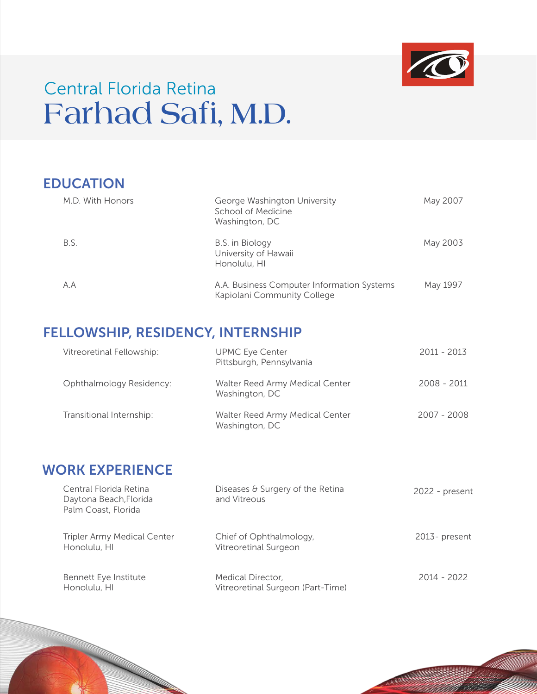

# **Farhad Safi, M.D.** Central Florida Retina

| <b>EDUCATION</b> |                                                                           |          |
|------------------|---------------------------------------------------------------------------|----------|
| M.D. With Honors | George Washington University<br>School of Medicine<br>Washington, DC      | May 2007 |
| B.S.             | B.S. in Biology<br>University of Hawaii<br>Honolulu, HI                   | May 2003 |
| A.A              | A.A. Business Computer Information Systems<br>Kapiolani Community College | May 1997 |

# FELLOWSHIP, RESIDENCY, INTERNSHIP

| Vitreoretinal Fellowship: | <b>UPMC Eye Center</b><br>Pittsburgh, Pennsylvania | 2011 - 2013   |
|---------------------------|----------------------------------------------------|---------------|
| Ophthalmology Residency:  | Walter Reed Army Medical Center<br>Washington, DC  | $2008 - 2011$ |
| Transitional Internship:  | Walter Reed Army Medical Center<br>Washington, DC  | 2007 - 2008   |

# WORK EXPERIENCE

| Central Florida Retina<br>Daytona Beach, Florida<br>Palm Coast, Florida | Diseases & Surgery of the Retina<br>and Vitreous       | 2022 - present   |
|-------------------------------------------------------------------------|--------------------------------------------------------|------------------|
| <b>Tripler Army Medical Center</b><br>Honolulu, HI                      | Chief of Ophthalmology,<br>Vitreoretinal Surgeon       | $2013$ - present |
| Bennett Eye Institute<br>Honolulu, HI                                   | Medical Director,<br>Vitreoretinal Surgeon (Part-Time) | 2014 - 2022      |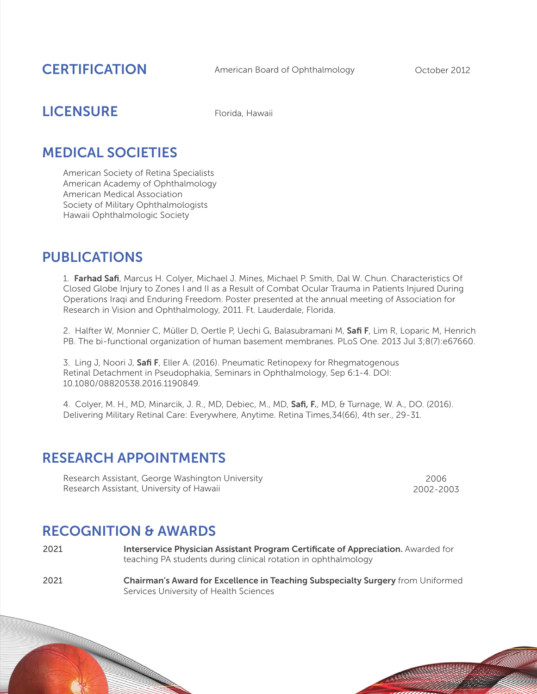#### **CERTIFICATION**

American Board of Ophthalmology Corober 2012

# **LICENSURE** Florida, Hawaii

### MEDICAL SOCIETIES

American Society of Retina Specialists American Academy of Ophthalmology American Medical Association Society of Military Ophthalmologists Hawaii Ophthalmologic Society

#### PUBLICATIONS

1. Farhad Safi, Marcus H. Colyer, Michael J. Mines, Michael P. Smith, Dal W. Chun. Characteristics Of Closed Globe Injury to Zones I and II as a Result of Combat Ocular Trauma in Patients Injured During Operations Iraqi and Enduring Freedom. Poster presented at the annual meeting of Association for Research in Vision and Ophthalmology, 2011. Ft. Lauderdale, Florida.

2. Halfter W, Monnier C, Müller D, Oertle P, Uechi G, Balasubramani M, Safi F, Lim R, Loparic M, Henrich PB. The bi-functional organization of human basement membranes. PLoS One. 2013 Jul 3;8(7):e67660.

3. Ling J, Noori J, Safi F, Eller A. (2016). Pneumatic Retinopexy for Rhegmatogenous Retinal Detachment in Pseudophakia, Seminars in Ophthalmology, Sep 6:1-4. DOI: 10.1080/08820538.2016.1190849.

4. Colyer, M. H., MD, Minarcik, J. R., MD, Debiec, M., MD, Safi, F., MD, & Turnage, W. A., DO. (2016). Delivering Military Retinal Care: Everywhere, Anytime. Retina Times,34(66), 4th ser., 29-31.

#### RESEARCH APPOINTMENTS

Research Assistant, George Washington University Research Assistant, University of Hawaii

2006 2002-2003

**RANGER CO.** 

#### RECOGNITION & AWARDS

- Interservice Physician Assistant Program Certificate of Appreciation. Awarded for teaching PA students during clinical rotation in ophthalmology 2021
- Chairman's Award for Excellence in Teaching Subspecialty Surgery from Uniformed Services University of Health Sciences 2021